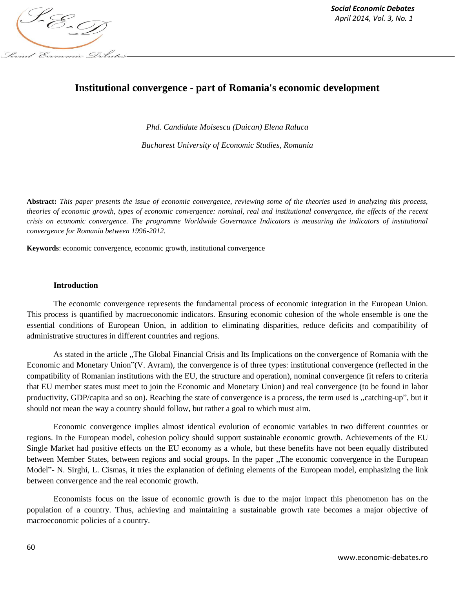

# **Institutional convergence - part of Romania's economic development**

*Phd. Candidate Moisescu (Duican) Elena Raluca*

*Bucharest University of Economic Studies, Romania*

**Abstract:** *This paper presents the issue of economic convergence, reviewing some of the theories used in analyzing this process, theories of economic growth, types of economic convergence: nominal, real and institutional convergence, the effects of the recent crisis on economic convergence. The programme Worldwide Governance Indicators is measuring the indicators of institutional convergence for Romania between 1996-2012.*

**Keywords**: economic convergence, economic growth, institutional convergence

#### **Introduction**

The economic convergence represents the fundamental process of economic integration in the European Union. This process is quantified by macroeconomic indicators. Ensuring economic cohesion of the whole ensemble is one the essential conditions of European Union, in addition to eliminating disparities, reduce deficits and compatibility of administrative structures in different countries and regions.

As stated in the article ,,The Global Financial Crisis and Its Implications on the convergence of Romania with the Economic and Monetary Union"(V. Avram), the convergence is of three types: institutional convergence (reflected in the compatibility of Romanian institutions with the EU, the structure and operation), nominal convergence (it refers to criteria that EU member states must meet to join the Economic and Monetary Union) and real convergence (to be found in labor productivity, GDP/capita and so on). Reaching the state of convergence is a process, the term used is ,,catching-up", but it should not mean the way a country should follow, but rather a goal to which must aim.

Economic convergence implies almost identical evolution of economic variables in two different countries or regions. In the European model, cohesion policy should support sustainable economic growth. Achievements of the EU Single Market had positive effects on the EU economy as a whole, but these benefits have not been equally distributed between Member States, between regions and social groups. In the paper ,,The economic convergence in the European Model"- N. Sirghi, L. Cismas, it tries the explanation of defining elements of the European model, emphasizing the link between convergence and the real economic growth.

Economists focus on the issue of economic growth is due to the major impact this phenomenon has on the population of a country. Thus, achieving and maintaining a sustainable growth rate becomes a major objective of macroeconomic policies of a country.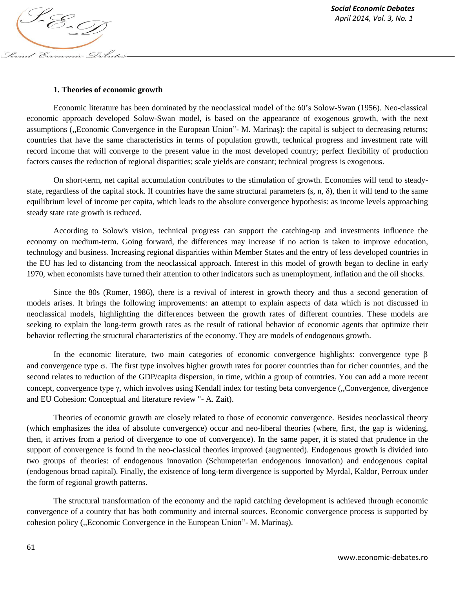#### **1. Theories of economic growth**

Social Economic Debates

Economic literature has been dominated by the neoclassical model of the 60's Solow-Swan (1956). Neo-classical economic approach developed Solow-Swan model, is based on the appearance of exogenous growth, with the next assumptions (,,Economic Convergence in the European Union"- M. Marinaş): the capital is subject to decreasing returns; countries that have the same characteristics in terms of population growth, technical progress and investment rate will record income that will converge to the present value in the most developed country; perfect flexibility of production factors causes the reduction of regional disparities; scale yields are constant; technical progress is exogenous.

On short-term, net capital accumulation contributes to the stimulation of growth. Economies will tend to steadystate, regardless of the capital stock. If countries have the same structural parameters  $(s, n, \delta)$ , then it will tend to the same equilibrium level of income per capita, which leads to the absolute convergence hypothesis: as income levels approaching steady state rate growth is reduced.

According to Solow's vision, technical progress can support the catching-up and investments influence the economy on medium-term. Going forward, the differences may increase if no action is taken to improve education, technology and business. Increasing regional disparities within Member States and the entry of less developed countries in the EU has led to distancing from the neoclassical approach. Interest in this model of growth began to decline in early 1970, when economists have turned their attention to other indicators such as unemployment, inflation and the oil shocks.

Since the 80s (Romer, 1986), there is a revival of interest in growth theory and thus a second generation of models arises. It brings the following improvements: an attempt to explain aspects of data which is not discussed in neoclassical models, highlighting the differences between the growth rates of different countries. These models are seeking to explain the long-term growth rates as the result of rational behavior of economic agents that optimize their behavior reflecting the structural characteristics of the economy. They are models of endogenous growth.

In the economic literature, two main categories of economic convergence highlights: convergence type  $\beta$ and convergence type  $\sigma$ . The first type involves higher growth rates for poorer countries than for richer countries, and the second relates to reduction of the GDP/capita dispersion, in time, within a group of countries. You can add a more recent concept, convergence type  $\gamma$ , which involves using Kendall index for testing beta convergence (,,Convergence, divergence and EU Cohesion: Conceptual and literature review "- A. Zait).

Theories of economic growth are closely related to those of economic convergence. Besides neoclassical theory (which emphasizes the idea of absolute convergence) occur and neo-liberal theories (where, first, the gap is widening, then, it arrives from a period of divergence to one of convergence). In the same paper, it is stated that prudence in the support of convergence is found in the neo-classical theories improved (augmented). Endogenous growth is divided into two groups of theories: of endogenous innovation (Schumpeterian endogenous innovation) and endogenous capital (endogenous broad capital). Finally, the existence of long-term divergence is supported by Myrdal, Kaldor, Perroux under the form of regional growth patterns.

The structural transformation of the economy and the rapid catching development is achieved through economic convergence of a country that has both community and internal sources. Economic convergence process is supported by cohesion policy (,,Economic Convergence in the European Union"- M. Marinaş).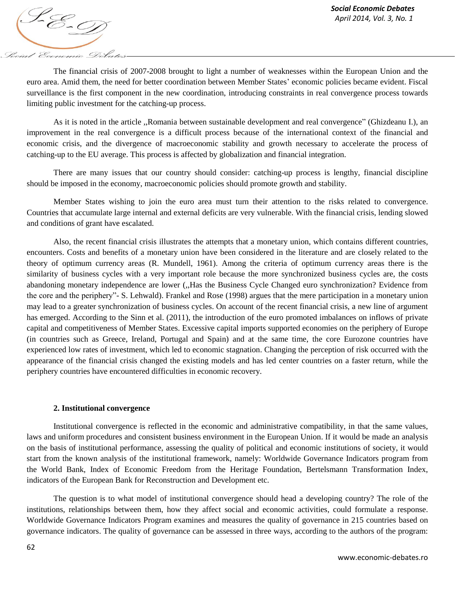*April* 2014, *Vol. 3, No. 1*<br>*April 2014, Vol. 3, No. 1* Social Economic Debates

The financial crisis of 2007-2008 brought to light a number of weaknesses within the European Union and the euro area. Amid them, the need for better coordination between Member States' economic policies became evident. Fiscal surveillance is the first component in the new coordination, introducing constraints in real convergence process towards limiting public investment for the catching-up process.

As it is noted in the article ,,Romania between sustainable development and real convergence" (Ghizdeanu I.), an improvement in the real convergence is a difficult process because of the international context of the financial and economic crisis, and the divergence of macroeconomic stability and growth necessary to accelerate the process of catching-up to the EU average. This process is affected by globalization and financial integration.

There are many issues that our country should consider: catching-up process is lengthy, financial discipline should be imposed in the economy, macroeconomic policies should promote growth and stability.

Member States wishing to join the euro area must turn their attention to the risks related to convergence. Countries that accumulate large internal and external deficits are very vulnerable. With the financial crisis, lending slowed and conditions of grant have escalated.

Also, the recent financial crisis illustrates the attempts that a monetary union, which contains different countries, encounters. Costs and benefits of a monetary union have been considered in the literature and are closely related to the theory of optimum currency areas (R. Mundell, 1961). Among the criteria of optimum currency areas there is the similarity of business cycles with a very important role because the more synchronized business cycles are, the costs abandoning monetary independence are lower (,,Has the Business Cycle Changed euro synchronization? Evidence from the core and the periphery"- S. Lehwald). Frankel and Rose (1998) argues that the mere participation in a monetary union may lead to a greater synchronization of business cycles. On account of the recent financial crisis, a new line of argument has emerged. According to the Sinn et al. (2011), the introduction of the euro promoted imbalances on inflows of private capital and competitiveness of Member States. Excessive capital imports supported economies on the periphery of Europe (in countries such as Greece, Ireland, Portugal and Spain) and at the same time, the core Eurozone countries have experienced low rates of investment, which led to economic stagnation. Changing the perception of risk occurred with the appearance of the financial crisis changed the existing models and has led center countries on a faster return, while the periphery countries have encountered difficulties in economic recovery.

#### **2. Institutional convergence**

Institutional convergence is reflected in the economic and administrative compatibility, in that the same values, laws and uniform procedures and consistent business environment in the European Union. If it would be made an analysis on the basis of institutional performance, assessing the quality of political and economic institutions of society, it would start from the known analysis of the institutional framework, namely: Worldwide Governance Indicators program from the World Bank, Index of Economic Freedom from the Heritage Foundation, Bertelsmann Transformation Index, indicators of the European Bank for Reconstruction and Development etc.

The question is to what model of institutional convergence should head a developing country? The role of the institutions, relationships between them, how they affect social and economic activities, could formulate a response. Worldwide Governance Indicators Program examines and measures the quality of governance in 215 countries based on governance indicators. The quality of governance can be assessed in three ways, according to the authors of the program: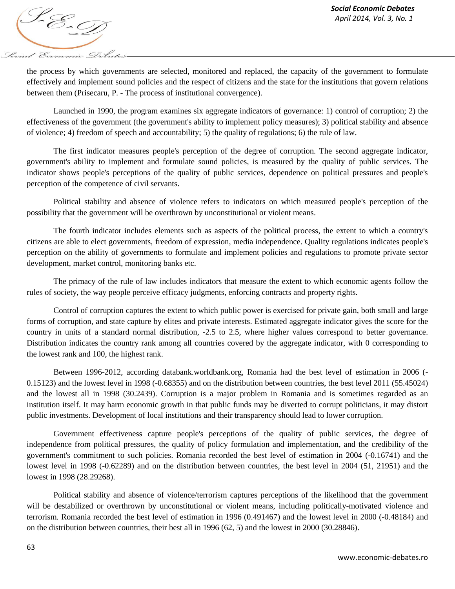

the process by which governments are selected, monitored and replaced, the capacity of the government to formulate effectively and implement sound policies and the respect of citizens and the state for the institutions that govern relations between them (Prisecaru, P. - The process of institutional convergence).

Launched in 1990, the program examines six aggregate indicators of governance: 1) control of corruption; 2) the effectiveness of the government (the government's ability to implement policy measures); 3) political stability and absence of violence; 4) freedom of speech and accountability; 5) the quality of regulations; 6) the rule of law.

The first indicator measures people's perception of the degree of corruption. The second aggregate indicator, government's ability to implement and formulate sound policies, is measured by the quality of public services. The indicator shows people's perceptions of the quality of public services, dependence on political pressures and people's perception of the competence of civil servants.

Political stability and absence of violence refers to indicators on which measured people's perception of the possibility that the government will be overthrown by unconstitutional or violent means.

The fourth indicator includes elements such as aspects of the political process, the extent to which a country's citizens are able to elect governments, freedom of expression, media independence. Quality regulations indicates people's perception on the ability of governments to formulate and implement policies and regulations to promote private sector development, market control, monitoring banks etc.

The primacy of the rule of law includes indicators that measure the extent to which economic agents follow the rules of society, the way people perceive efficacy judgments, enforcing contracts and property rights.

Control of corruption captures the extent to which public power is exercised for private gain, both small and large forms of corruption, and state capture by elites and private interests. Estimated aggregate indicator gives the score for the country in units of a standard normal distribution, -2.5 to 2.5, where higher values correspond to better governance. Distribution indicates the country rank among all countries covered by the aggregate indicator, with 0 corresponding to the lowest rank and 100, the highest rank.

Between 1996-2012, according databank.worldbank.org, Romania had the best level of estimation in 2006 (- 0.15123) and the lowest level in 1998 (-0.68355) and on the distribution between countries, the best level 2011 (55.45024) and the lowest all in 1998 (30.2439). Corruption is a major problem in Romania and is sometimes regarded as an institution itself. It may harm economic growth in that public funds may be diverted to corrupt politicians, it may distort public investments. Development of local institutions and their transparency should lead to lower corruption.

Government effectiveness capture people's perceptions of the quality of public services, the degree of independence from political pressures, the quality of policy formulation and implementation, and the credibility of the government's commitment to such policies. Romania recorded the best level of estimation in 2004 (-0.16741) and the lowest level in 1998 (-0.62289) and on the distribution between countries, the best level in 2004 (51, 21951) and the lowest in 1998 (28.29268).

Political stability and absence of violence/terrorism captures perceptions of the likelihood that the government will be destabilized or overthrown by unconstitutional or violent means, including politically-motivated violence and terrorism. Romania recorded the best level of estimation in 1996 (0.491467) and the lowest level in 2000 (-0.48184) and on the distribution between countries, their best all in 1996 (62, 5) and the lowest in 2000 (30.28846).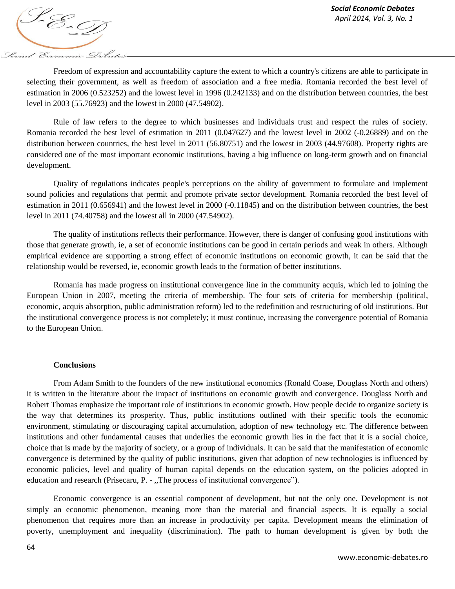

Freedom of expression and accountability capture the extent to which a country's citizens are able to participate in selecting their government, as well as freedom of association and a free media. Romania recorded the best level of estimation in 2006 (0.523252) and the lowest level in 1996 (0.242133) and on the distribution between countries, the best level in 2003 (55.76923) and the lowest in 2000 (47.54902).

Rule of law refers to the degree to which businesses and individuals trust and respect the rules of society. Romania recorded the best level of estimation in 2011 (0.047627) and the lowest level in 2002 (-0.26889) and on the distribution between countries, the best level in 2011 (56.80751) and the lowest in 2003 (44.97608). Property rights are considered one of the most important economic institutions, having a big influence on long-term growth and on financial development.

Quality of regulations indicates people's perceptions on the ability of government to formulate and implement sound policies and regulations that permit and promote private sector development. Romania recorded the best level of estimation in 2011 (0.656941) and the lowest level in 2000 (-0.11845) and on the distribution between countries, the best level in 2011 (74.40758) and the lowest all in 2000 (47.54902).

The quality of institutions reflects their performance. However, there is danger of confusing good institutions with those that generate growth, ie, a set of economic institutions can be good in certain periods and weak in others. Although empirical evidence are supporting a strong effect of economic institutions on economic growth, it can be said that the relationship would be reversed, ie, economic growth leads to the formation of better institutions.

Romania has made progress on institutional convergence line in the community acquis, which led to joining the European Union in 2007, meeting the criteria of membership. The four sets of criteria for membership (political, economic, acquis absorption, public administration reform) led to the redefinition and restructuring of old institutions. But the institutional convergence process is not completely; it must continue, increasing the convergence potential of Romania to the European Union.

### **Conclusions**

From Adam Smith to the founders of the new institutional economics (Ronald Coase, Douglass North and others) it is written in the literature about the impact of institutions on economic growth and convergence. Douglass North and Robert Thomas emphasize the important role of institutions in economic growth. How people decide to organize society is the way that determines its prosperity. Thus, public institutions outlined with their specific tools the economic environment, stimulating or discouraging capital accumulation, adoption of new technology etc. The difference between institutions and other fundamental causes that underlies the economic growth lies in the fact that it is a social choice, choice that is made by the majority of society, or a group of individuals. It can be said that the manifestation of economic convergence is determined by the quality of public institutions, given that adoption of new technologies is influenced by economic policies, level and quality of human capital depends on the education system, on the policies adopted in education and research (Prisecaru, P. - ,,The process of institutional convergence").

Economic convergence is an essential component of development, but not the only one. Development is not simply an economic phenomenon, meaning more than the material and financial aspects. It is equally a social phenomenon that requires more than an increase in productivity per capita. Development means the elimination of poverty, unemployment and inequality (discrimination). The path to human development is given by both the